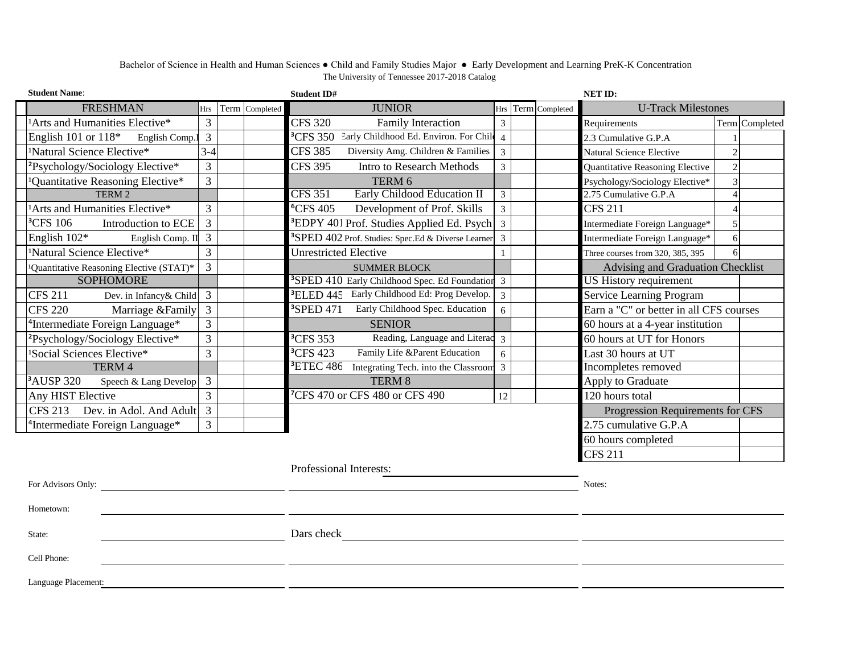## Bachelor of Science in Health and Human Sciences ● Child and Family Studies Major ● Early Development and Learning PreK-K Concentration The University of Tennessee 2017-2018 Catalog

| <b>Student Name:</b>                                 |                |  |                | <b>Student ID#</b>                                             |  |                |  | NET ID:        |                                         |                |                |
|------------------------------------------------------|----------------|--|----------------|----------------------------------------------------------------|--|----------------|--|----------------|-----------------------------------------|----------------|----------------|
| <b>FRESHMAN</b>                                      | Hrs            |  | Term Completed | <b>JUNIOR</b>                                                  |  | Hrs            |  | Term Completed | <b>U-Track Milestones</b>               |                |                |
| <sup>1</sup> Arts and Humanities Elective*           | 3              |  |                | <b>CFS 320</b><br>Family Interaction                           |  | $\overline{3}$ |  |                | Requirements                            |                | Term Completed |
| English 101 or $118*$<br>English Comp.               | $\overline{3}$ |  |                | Early Childhood Ed. Environ. For Chile<br><sup>3</sup> CFS 350 |  | $\overline{4}$ |  |                | 2.3 Cumulative G.P.A                    |                |                |
| <sup>1</sup> Natural Science Elective*               | $3 - 4$        |  |                | Diversity Amg. Children & Families<br><b>CFS 385</b>           |  | $\overline{3}$ |  |                | Natural Science Elective                | $\mathfrak{D}$ |                |
| <sup>2</sup> Psychology/Sociology Elective*          | $\overline{3}$ |  |                | <b>CFS 395</b><br><b>Intro to Research Methods</b>             |  | 3              |  |                | Quantitative Reasoning Elective         | 2              |                |
| <sup>1</sup> Quantitative Reasoning Elective*        | 3              |  |                | TERM 6                                                         |  |                |  |                | Psychology/Sociology Elective*          | 3              |                |
| TERM 2                                               |                |  |                | <b>CFS 351</b><br>Early Childood Education II                  |  | $\mathfrak{Z}$ |  |                | 2.75 Cumulative G.P.A                   |                |                |
| <sup>1</sup> Arts and Humanities Elective*           | 3              |  |                | <sup>6</sup> CFS 405<br>Development of Prof. Skills            |  | 3              |  |                | <b>CFS 211</b>                          | $\overline{4}$ |                |
| <sup>3</sup> CFS 106<br>Introduction to ECE          | 3              |  |                | <sup>3</sup> EDPY 401 Prof. Studies Applied Ed. Psych          |  | 3              |  |                | Intermediate Foreign Language*          | 5              |                |
| English $102*$<br>English Comp. II                   | $\overline{3}$ |  |                | <sup>3</sup> SPED 402 Prof. Studies: Spec.Ed & Diverse Learner |  | 3              |  |                | Intermediate Foreign Language*          | 6              |                |
| <sup>1</sup> Natural Science Elective*               | $\overline{3}$ |  |                | <b>Unrestricted Elective</b>                                   |  |                |  |                | Three courses from 320, 385, 395        |                |                |
| <sup>1</sup> Quantitative Reasoning Elective (STAT)* | $\overline{3}$ |  |                | <b>SUMMER BLOCK</b>                                            |  |                |  |                | Advising and Graduation Checklist       |                |                |
| <b>SOPHOMORE</b>                                     |                |  |                | <sup>3</sup> SPED 410 Early Childhood Spec. Ed Foundation      |  | 3              |  |                | <b>US History requirement</b>           |                |                |
| <b>CFS 211</b><br>Dev. in Infancy & Child 3          |                |  |                | BELED 445 Early Childhood Ed: Prog Develop.                    |  | 3              |  |                | <b>Service Learning Program</b>         |                |                |
| <b>CFS 220</b><br>Marriage & Family 3                |                |  |                | Early Childhood Spec. Education<br><sup>3</sup> SPED 471       |  | 6              |  |                | Earn a "C" or better in all CFS courses |                |                |
| <sup>4</sup> Intermediate Foreign Language*          | $\overline{3}$ |  |                | <b>SENIOR</b>                                                  |  |                |  |                | 60 hours at a 4-year institution        |                |                |
| <sup>2</sup> Psychology/Sociology Elective*          | 3              |  |                | Reading, Language and Literac 3<br><sup>3</sup> CFS 353        |  |                |  |                | 60 hours at UT for Honors               |                |                |
| <sup>1</sup> Social Sciences Elective*               | 3              |  |                | <sup>3</sup> CFS 423<br>Family Life &Parent Education          |  | 6              |  |                | Last 30 hours at UT                     |                |                |
| TERM 4                                               |                |  |                | <sup>3</sup> ETEC 486<br>Integrating Tech. into the Classroom  |  | 3              |  |                | Incompletes removed                     |                |                |
| <sup>3</sup> AUSP 320<br>Speech & Lang Develop       | $\mathfrak{Z}$ |  |                | TERM 8                                                         |  |                |  |                | Apply to Graduate                       |                |                |
| Any HIST Elective                                    | $\overline{3}$ |  |                | CFS 470 or CFS 480 or CFS 490                                  |  | 12             |  |                | 120 hours total                         |                |                |
| Dev. in Adol. And Adult<br><b>CFS 213</b>            | 3              |  |                |                                                                |  |                |  |                | Progression Requirements for CFS        |                |                |
| <sup>4</sup> Intermediate Foreign Language*          | $\overline{3}$ |  |                |                                                                |  |                |  |                | 2.75 cumulative G.P.A                   |                |                |
|                                                      |                |  |                |                                                                |  |                |  |                | 60 hours completed                      |                |                |
|                                                      |                |  |                |                                                                |  |                |  |                | <b>CFS 211</b>                          |                |                |
|                                                      |                |  |                | Professional Interests:                                        |  |                |  |                |                                         |                |                |
| For Advisors Only:                                   |                |  |                |                                                                |  |                |  |                | Notes:                                  |                |                |
|                                                      |                |  |                |                                                                |  |                |  |                |                                         |                |                |
| Hometown:                                            |                |  |                |                                                                |  |                |  |                |                                         |                |                |
| State:                                               |                |  |                | Dars check                                                     |  |                |  |                |                                         |                |                |
|                                                      |                |  |                |                                                                |  |                |  |                |                                         |                |                |
| Cell Phone:                                          |                |  |                |                                                                |  |                |  |                |                                         |                |                |
| Language Placement:                                  |                |  |                |                                                                |  |                |  |                |                                         |                |                |